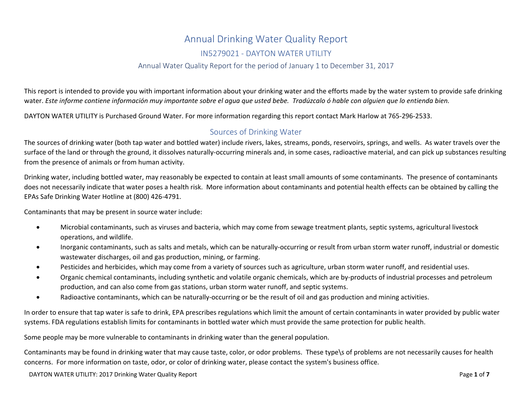# Annual Drinking Water Quality Report

## IN5279021 - DAYTON WATER UTILITY

### Annual Water Quality Report for the period of January 1 to December 31, 2017

This report is intended to provide you with important information about your drinking water and the efforts made by the water system to provide safe drinking water. *Este informe contiene información muy importante sobre el agua que usted bebe. Tradúzcalo ó hable con alguien que lo entienda bien.*

DAYTON WATER UTILITY is Purchased Ground Water. For more information regarding this report contact Mark Harlow at 765-296-2533.

## Sources of Drinking Water

The sources of drinking water (both tap water and bottled water) include rivers, lakes, streams, ponds, reservoirs, springs, and wells. As water travels over the surface of the land or through the ground, it dissolves naturally-occurring minerals and, in some cases, radioactive material, and can pick up substances resulting from the presence of animals or from human activity.

Drinking water, including bottled water, may reasonably be expected to contain at least small amounts of some contaminants. The presence of contaminants does not necessarily indicate that water poses a health risk. More information about contaminants and potential health effects can be obtained by calling the EPAs Safe Drinking Water Hotline at (800) 426-4791.

Contaminants that may be present in source water include:

- Microbial contaminants, such as viruses and bacteria, which may come from sewage treatment plants, septic systems, agricultural livestock operations, and wildlife.
- Inorganic contaminants, such as salts and metals, which can be naturally-occurring or result from urban storm water runoff, industrial or domestic wastewater discharges, oil and gas production, mining, or farming.
- Pesticides and herbicides, which may come from a variety of sources such as agriculture, urban storm water runoff, and residential uses.
- Organic chemical contaminants, including synthetic and volatile organic chemicals, which are by-products of industrial processes and petroleum production, and can also come from gas stations, urban storm water runoff, and septic systems.
- Radioactive contaminants, which can be naturally-occurring or be the result of oil and gas production and mining activities.

In order to ensure that tap water is safe to drink, EPA prescribes regulations which limit the amount of certain contaminants in water provided by public water systems. FDA regulations establish limits for contaminants in bottled water which must provide the same protection for public health.

Some people may be more vulnerable to contaminants in drinking water than the general population.

Contaminants may be found in drinking water that may cause taste, color, or odor problems. These type\s of problems are not necessarily causes for health concerns. For more information on taste, odor, or color of drinking water, please contact the system's business office.

DAYTON WATER UTILITY: 2017 Drinking Water Quality Report Page **1** of **7**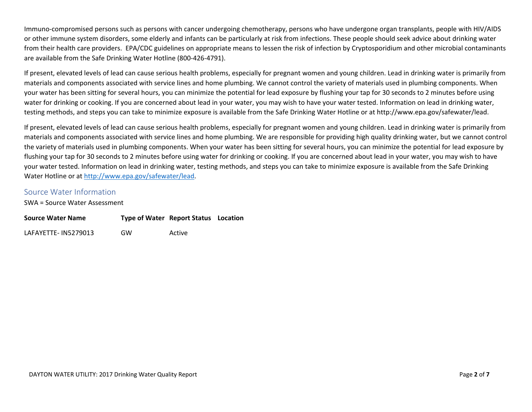Immuno-compromised persons such as persons with cancer undergoing chemotherapy, persons who have undergone organ transplants, people with HIV/AIDS or other immune system disorders, some elderly and infants can be particularly at risk from infections. These people should seek advice about drinking water from their health care providers. EPA/CDC guidelines on appropriate means to lessen the risk of infection by Cryptosporidium and other microbial contaminants are available from the Safe Drinking Water Hotline (800-426-4791).

If present, elevated levels of lead can cause serious health problems, especially for pregnant women and young children. Lead in drinking water is primarily from materials and components associated with service lines and home plumbing. We cannot control the variety of materials used in plumbing components. When your water has been sitting for several hours, you can minimize the potential for lead exposure by flushing your tap for 30 seconds to 2 minutes before using water for drinking or cooking. If you are concerned about lead in your water, you may wish to have your water tested. Information on lead in drinking water, testing methods, and steps you can take to minimize exposure is available from the Safe Drinking Water Hotline or at http://www.epa.gov/safewater/lead.

If present, elevated levels of lead can cause serious health problems, especially for pregnant women and young children. Lead in drinking water is primarily from materials and components associated with service lines and home plumbing. We are responsible for providing high quality drinking water, but we cannot control the variety of materials used in plumbing components. When your water has been sitting for several hours, you can minimize the potential for lead exposure by flushing your tap for 30 seconds to 2 minutes before using water for drinking or cooking. If you are concerned about lead in your water, you may wish to have your water tested. Information on lead in drinking water, testing methods, and steps you can take to minimize exposure is available from the Safe Drinking Water Hotline or at [http://www.epa.gov/safewater/lead.](http://www.epa.gov/safewater/lead)

#### Source Water Information

SWA = Source Water Assessment

| <b>Source Water Name</b> |    | <b>Type of Water Report Status Location</b> |  |
|--------------------------|----|---------------------------------------------|--|
| LAFAYETTE- IN5279013     | GW | Active                                      |  |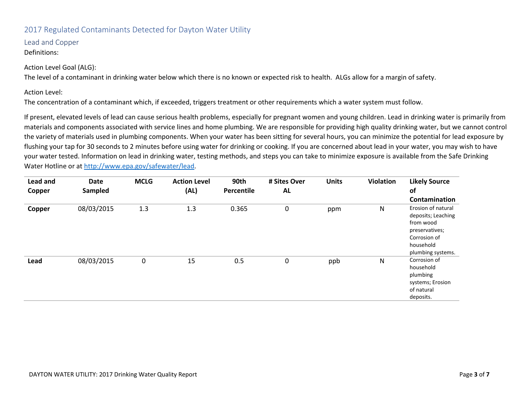## 2017 Regulated Contaminants Detected for Dayton Water Utility

#### Lead and Copper

#### Definitions:

#### Action Level Goal (ALG):

The level of a contaminant in drinking water below which there is no known or expected risk to health. ALGs allow for a margin of safety.

Action Level:

The concentration of a contaminant which, if exceeded, triggers treatment or other requirements which a water system must follow.

If present, elevated levels of lead can cause serious health problems, especially for pregnant women and young children. Lead in drinking water is primarily from materials and components associated with service lines and home plumbing. We are responsible for providing high quality drinking water, but we cannot control the variety of materials used in plumbing components. When your water has been sitting for several hours, you can minimize the potential for lead exposure by flushing your tap for 30 seconds to 2 minutes before using water for drinking or cooking. If you are concerned about lead in your water, you may wish to have your water tested. Information on lead in drinking water, testing methods, and steps you can take to minimize exposure is available from the Safe Drinking Water Hotline or at [http://www.epa.gov/safewater/lead.](http://www.epa.gov/safewater/lead)

| <b>Lead and</b><br>Copper | Date<br>Sampled | <b>MCLG</b> | <b>Action Level</b><br>(AL) | 90th<br>Percentile | # Sites Over<br>AL | <b>Units</b> | <b>Violation</b> | <b>Likely Source</b><br>of<br>Contamination                                                                               |
|---------------------------|-----------------|-------------|-----------------------------|--------------------|--------------------|--------------|------------------|---------------------------------------------------------------------------------------------------------------------------|
| Copper                    | 08/03/2015      | 1.3         | 1.3                         | 0.365              | $\mathbf 0$        | ppm          | N                | Erosion of natural<br>deposits; Leaching<br>from wood<br>preservatives;<br>Corrosion of<br>household<br>plumbing systems. |
| Lead                      | 08/03/2015      | $\mathbf 0$ | 15                          | 0.5                | 0                  | ppb          | Ν                | Corrosion of<br>household<br>plumbing<br>systems; Erosion<br>of natural<br>deposits.                                      |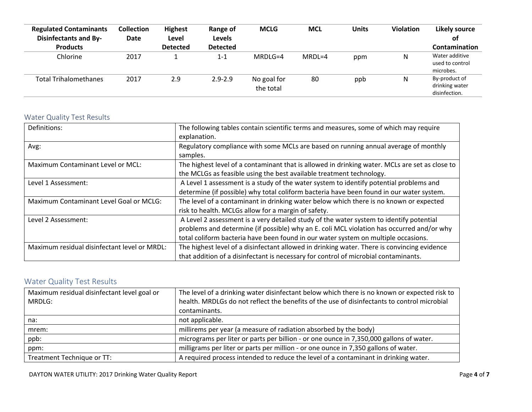| <b>Regulated Contaminants</b><br><b>Disinfectants and By-</b> | <b>Collection</b><br>Date | <b>Highest</b><br>Level | Range of<br><b>Levels</b> | <b>MCLG</b>              | <b>MCL</b> | <b>Units</b> | <b>Violation</b> | <b>Likely source</b><br>оf                       |
|---------------------------------------------------------------|---------------------------|-------------------------|---------------------------|--------------------------|------------|--------------|------------------|--------------------------------------------------|
| <b>Products</b>                                               |                           | <b>Detected</b>         | <b>Detected</b>           |                          |            |              |                  | Contamination                                    |
| Chlorine                                                      | 2017                      |                         | $1 - 1$                   | MRDLG=4                  | $MRDL=4$   | ppm          | N                | Water additive<br>used to control<br>microbes.   |
| <b>Total Trihalomethanes</b>                                  | 2017                      | 2.9                     | $2.9 - 2.9$               | No goal for<br>the total | 80         | ppb          | N                | By-product of<br>drinking water<br>disinfection. |

## Water Quality Test Results

| Definitions:                                 | The following tables contain scientific terms and measures, some of which may require<br>explanation.                                                                                                                                                                      |
|----------------------------------------------|----------------------------------------------------------------------------------------------------------------------------------------------------------------------------------------------------------------------------------------------------------------------------|
| Avg:                                         | Regulatory compliance with some MCLs are based on running annual average of monthly<br>samples.                                                                                                                                                                            |
| Maximum Contaminant Level or MCL:            | The highest level of a contaminant that is allowed in drinking water. MCLs are set as close to<br>the MCLGs as feasible using the best available treatment technology.                                                                                                     |
| Level 1 Assessment:                          | A Level 1 assessment is a study of the water system to identify potential problems and<br>determine (if possible) why total coliform bacteria have been found in our water system.                                                                                         |
| Maximum Contaminant Level Goal or MCLG:      | The level of a contaminant in drinking water below which there is no known or expected<br>risk to health. MCLGs allow for a margin of safety.                                                                                                                              |
| Level 2 Assessment:                          | A Level 2 assessment is a very detailed study of the water system to identify potential<br>problems and determine (if possible) why an E. coli MCL violation has occurred and/or why<br>total coliform bacteria have been found in our water system on multiple occasions. |
| Maximum residual disinfectant level or MRDL: | The highest level of a disinfectant allowed in drinking water. There is convincing evidence<br>that addition of a disinfectant is necessary for control of microbial contaminants.                                                                                         |

# Water Quality Test Results

| Maximum residual disinfectant level goal or | The level of a drinking water disinfectant below which there is no known or expected risk to |
|---------------------------------------------|----------------------------------------------------------------------------------------------|
| MRDLG:                                      | health. MRDLGs do not reflect the benefits of the use of disinfectants to control microbial  |
|                                             | contaminants.                                                                                |
| na:                                         | not applicable.                                                                              |
| mrem:                                       | millirems per year (a measure of radiation absorbed by the body)                             |
| ppb:                                        | micrograms per liter or parts per billion - or one ounce in 7,350,000 gallons of water.      |
| ppm:                                        | milligrams per liter or parts per million - or one ounce in 7,350 gallons of water.          |
| Treatment Technique or TT:                  | A required process intended to reduce the level of a contaminant in drinking water.          |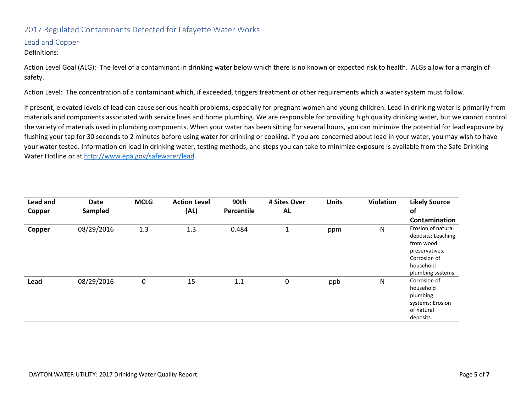## 2017 Regulated Contaminants Detected for Lafayette Water Works

#### Lead and Copper

#### Definitions:

Action Level Goal (ALG): The level of a contaminant in drinking water below which there is no known or expected risk to health. ALGs allow for a margin of safety.

Action Level: The concentration of a contaminant which, if exceeded, triggers treatment or other requirements which a water system must follow.

If present, elevated levels of lead can cause serious health problems, especially for pregnant women and young children. Lead in drinking water is primarily from materials and components associated with service lines and home plumbing. We are responsible for providing high quality drinking water, but we cannot control the variety of materials used in plumbing components. When your water has been sitting for several hours, you can minimize the potential for lead exposure by flushing your tap for 30 seconds to 2 minutes before using water for drinking or cooking. If you are concerned about lead in your water, you may wish to have your water tested. Information on lead in drinking water, testing methods, and steps you can take to minimize exposure is available from the Safe Drinking Water Hotline or at [http://www.epa.gov/safewater/lead.](http://www.epa.gov/safewater/lead)

| Lead and<br>Copper | <b>Date</b><br>Sampled | <b>MCLG</b> | <b>Action Level</b><br>(AL) | 90th<br>Percentile | # Sites Over<br><b>AL</b> | <b>Units</b> | <b>Violation</b> | <b>Likely Source</b><br>of<br><b>Contamination</b>                                                                        |
|--------------------|------------------------|-------------|-----------------------------|--------------------|---------------------------|--------------|------------------|---------------------------------------------------------------------------------------------------------------------------|
| Copper             | 08/29/2016             | 1.3         | 1.3                         | 0.484              | 1                         | ppm          | N                | Erosion of natural<br>deposits; Leaching<br>from wood<br>preservatives;<br>Corrosion of<br>household<br>plumbing systems. |
| Lead               | 08/29/2016             | $\mathbf 0$ | 15                          | 1.1                | 0                         | ppb          | N                | Corrosion of<br>household<br>plumbing<br>systems; Erosion<br>of natural<br>deposits.                                      |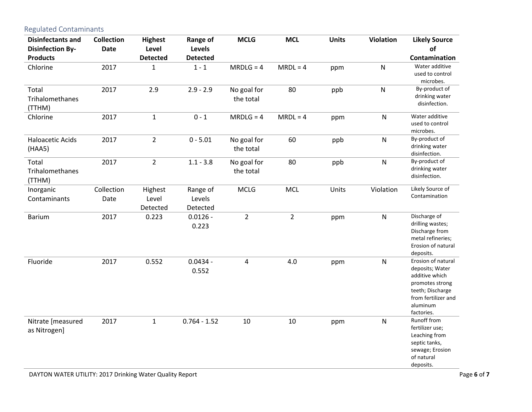Regulated Contaminants

| <b>Disinfectants and</b><br><b>Disinfection By-</b> | <b>Collection</b><br><b>Date</b> | <b>Highest</b><br>Level      | Range of<br><b>Levels</b>      | <b>MCLG</b>              | <b>MCL</b>     | <b>Units</b> | <b>Violation</b> | <b>Likely Source</b><br>of                                                                                                                      |
|-----------------------------------------------------|----------------------------------|------------------------------|--------------------------------|--------------------------|----------------|--------------|------------------|-------------------------------------------------------------------------------------------------------------------------------------------------|
| <b>Products</b>                                     |                                  | <b>Detected</b>              | <b>Detected</b>                |                          |                |              |                  | Contamination                                                                                                                                   |
| Chlorine                                            | 2017                             | $\mathbf{1}$                 | $1 - 1$                        | $MRDLG = 4$              | $MRDL = 4$     | ppm          | ${\sf N}$        | Water additive<br>used to control<br>microbes.                                                                                                  |
| Total<br>Trihalomethanes<br>(TTHM)                  | 2017                             | 2.9                          | $2.9 - 2.9$                    | No goal for<br>the total | 80             | ppb          | ${\sf N}$        | By-product of<br>drinking water<br>disinfection.                                                                                                |
| Chlorine                                            | 2017                             | $\mathbf{1}$                 | $0 - 1$                        | $MRDLG = 4$              | $MRDL = 4$     | ppm          | ${\sf N}$        | Water additive<br>used to control<br>microbes.                                                                                                  |
| <b>Haloacetic Acids</b><br>(HAA5)                   | 2017                             | $2^{\circ}$                  | $0 - 5.01$                     | No goal for<br>the total | 60             | ppb          | ${\sf N}$        | By-product of<br>drinking water<br>disinfection.                                                                                                |
| Total<br>Trihalomethanes<br>(TTHM)                  | 2017                             | $\overline{2}$               | $1.1 - 3.8$                    | No goal for<br>the total | 80             | ppb          | ${\sf N}$        | By-product of<br>drinking water<br>disinfection.                                                                                                |
| Inorganic<br>Contaminants                           | Collection<br>Date               | Highest<br>Level<br>Detected | Range of<br>Levels<br>Detected | <b>MCLG</b>              | <b>MCL</b>     | Units        | Violation        | Likely Source of<br>Contamination                                                                                                               |
| <b>Barium</b>                                       | 2017                             | 0.223                        | $0.0126 -$<br>0.223            | $\overline{2}$           | $\overline{2}$ | ppm          | ${\sf N}$        | Discharge of<br>drilling wastes;<br>Discharge from<br>metal refineries;<br>Erosion of natural<br>deposits.                                      |
| Fluoride                                            | 2017                             | 0.552                        | $0.0434 -$<br>0.552            | $\overline{4}$           | 4.0            | ppm          | ${\sf N}$        | Erosion of natural<br>deposits; Water<br>additive which<br>promotes strong<br>teeth; Discharge<br>from fertilizer and<br>aluminum<br>factories. |
| Nitrate [measured<br>as Nitrogen]                   | 2017                             | $\mathbf{1}$                 | $0.764 - 1.52$                 | 10                       | 10             | ppm          | ${\sf N}$        | Runoff from<br>fertilizer use;<br>Leaching from<br>septic tanks,<br>sewage; Erosion<br>of natural<br>deposits.                                  |